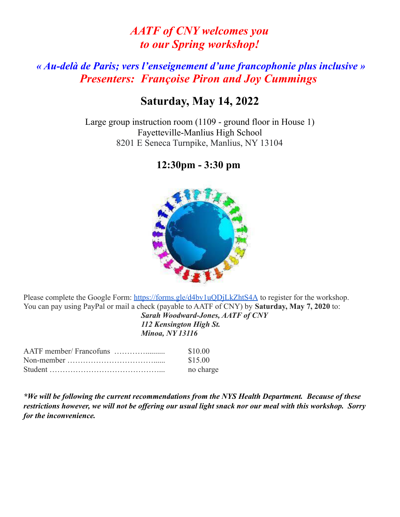# *AATF of CNY welcomes you to our Spring workshop!*

## *« Au-delà de Paris; vers l'enseignement d'une francophonie plus inclusive » Presenters: Françoise Piron and Joy Cummings*

#### **Saturday, May 14, 2022**

Large group instruction room (1109 - ground floor in House 1) Fayetteville-Manlius High School 8201 E Seneca Turnpike, Manlius, NY 13104

### **12:30pm - 3:30 pm**



Please complete the Google Form: <https://forms.gle/d4bv1uQDjLkZhtS4A> to register for the workshop. You can pay using PayPal or mail a check (payable to AATF of CNY) by **Saturday, May 7, 2020** to:

*Sarah Woodward-Jones, AATF of CNY 112 Kensington High St. Minoa, NY 13116*

| \$10.00   |
|-----------|
| \$15.00   |
| no charge |

*\*We will be following the current recommendations from the NYS Health Department. Because of these restrictions however, we will not be offering our usual light snack nor our meal with this workshop. Sorry for the inconvenience.*